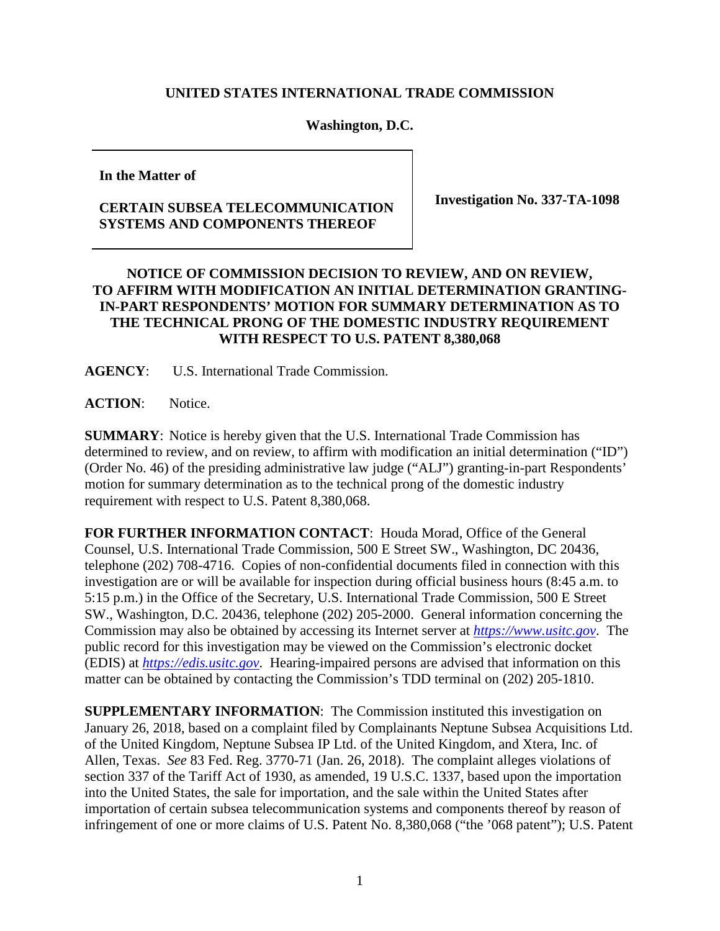## **UNITED STATES INTERNATIONAL TRADE COMMISSION**

## **Washington, D.C.**

**In the Matter of**

## **CERTAIN SUBSEA TELECOMMUNICATION SYSTEMS AND COMPONENTS THEREOF**

**Investigation No. 337-TA-1098**

## **NOTICE OF COMMISSION DECISION TO REVIEW, AND ON REVIEW, TO AFFIRM WITH MODIFICATION AN INITIAL DETERMINATION GRANTING-IN-PART RESPONDENTS' MOTION FOR SUMMARY DETERMINATION AS TO THE TECHNICAL PRONG OF THE DOMESTIC INDUSTRY REQUIREMENT WITH RESPECT TO U.S. PATENT 8,380,068**

**AGENCY**: U.S. International Trade Commission.

**ACTION**: Notice.

**SUMMARY**: Notice is hereby given that the U.S. International Trade Commission has determined to review, and on review, to affirm with modification an initial determination ("ID") (Order No. 46) of the presiding administrative law judge ("ALJ") granting-in-part Respondents' motion for summary determination as to the technical prong of the domestic industry requirement with respect to U.S. Patent 8,380,068.

**FOR FURTHER INFORMATION CONTACT**: Houda Morad, Office of the General Counsel, U.S. International Trade Commission, 500 E Street SW., Washington, DC 20436, telephone (202) 708-4716. Copies of non-confidential documents filed in connection with this investigation are or will be available for inspection during official business hours (8:45 a.m. to 5:15 p.m.) in the Office of the Secretary, U.S. International Trade Commission, 500 E Street SW., Washington, D.C. 20436, telephone (202) 205-2000. General information concerning the Commission may also be obtained by accessing its Internet server at *[https://www.usitc.gov](https://www.usitc.gov/)*. The public record for this investigation may be viewed on the Commission's electronic docket (EDIS) at *[https://edis.usitc.gov](http://edis.usitc.gov/)*. Hearing-impaired persons are advised that information on this matter can be obtained by contacting the Commission's TDD terminal on (202) 205-1810.

**SUPPLEMENTARY INFORMATION**: The Commission instituted this investigation on January 26, 2018, based on a complaint filed by Complainants Neptune Subsea Acquisitions Ltd. of the United Kingdom, Neptune Subsea IP Ltd. of the United Kingdom, and Xtera, Inc. of Allen, Texas. *See* 83 Fed. Reg. 3770-71 (Jan. 26, 2018). The complaint alleges violations of section 337 of the Tariff Act of 1930, as amended, 19 U.S.C. 1337, based upon the importation into the United States, the sale for importation, and the sale within the United States after importation of certain subsea telecommunication systems and components thereof by reason of infringement of one or more claims of U.S. Patent No. 8,380,068 ("the '068 patent"); U.S. Patent